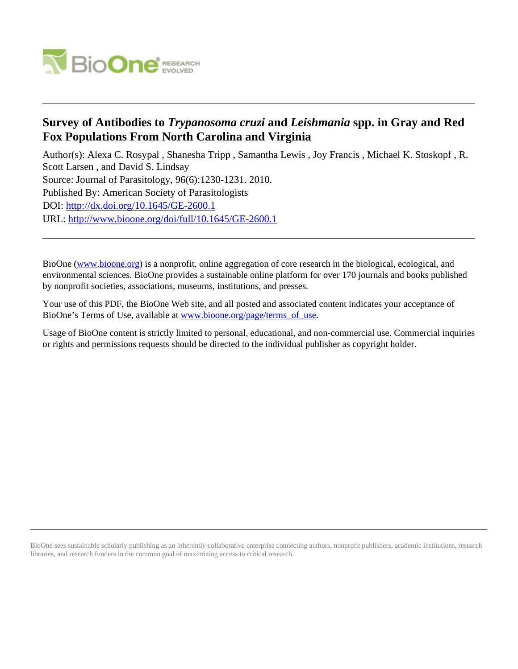

## **Survey of Antibodies to** *Trypanosoma cruzi* **and** *Leishmania* **spp. in Gray and Red Fox Populations From North Carolina and Virginia**

Author(s): Alexa C. Rosypal , Shanesha Tripp , Samantha Lewis , Joy Francis , Michael K. Stoskopf , R. Scott Larsen , and David S. Lindsay Source: Journal of Parasitology, 96(6):1230-1231. 2010. Published By: American Society of Parasitologists DOI:<http://dx.doi.org/10.1645/GE-2600.1> URL: <http://www.bioone.org/doi/full/10.1645/GE-2600.1>

BioOne [\(www.bioone.org\)](http://www.bioone.org) is a nonprofit, online aggregation of core research in the biological, ecological, and environmental sciences. BioOne provides a sustainable online platform for over 170 journals and books published by nonprofit societies, associations, museums, institutions, and presses.

Your use of this PDF, the BioOne Web site, and all posted and associated content indicates your acceptance of BioOne's Terms of Use, available at [www.bioone.org/page/terms\\_of\\_use.](http://www.bioone.org/page/terms_of_use)

Usage of BioOne content is strictly limited to personal, educational, and non-commercial use. Commercial inquiries or rights and permissions requests should be directed to the individual publisher as copyright holder.

BioOne sees sustainable scholarly publishing as an inherently collaborative enterprise connecting authors, nonprofit publishers, academic institutions, research libraries, and research funders in the common goal of maximizing access to critical research.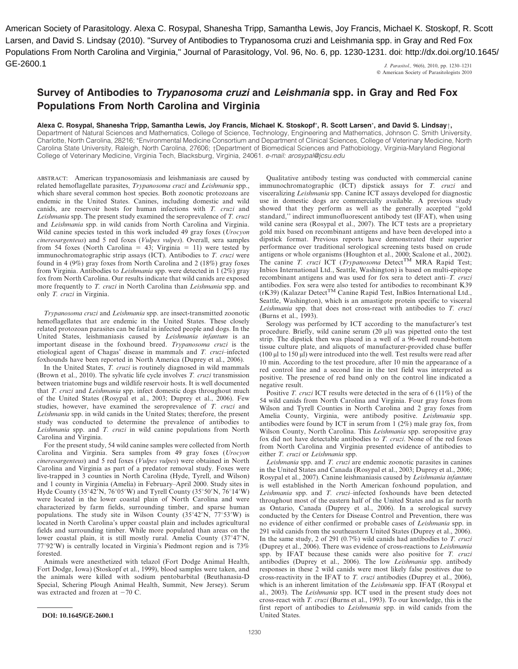J. Parasitol., 96(6), 2010, pp. 1230–1231 Larsen, and David S. Lindsay (2010). "Survey of Antibodies to Trypanosoma cruzi and Leishmania spp. in Gray and Red Fox Populations From North Carolina and Virginia," Journal of Parasitology, Vol. 96, No. 6, pp. 1230-1231. doi: http://dx.doi.org/10.1645/ GE-2600.1

 $©$  American Society of Parasitologists 2010

## Survey of Antibodies to Trypanosoma cruzi and Leishmania spp. in Gray and Red Fox Populations From North Carolina and Virginia

Alexa C. Rosypal, Shanesha Tripp, Samantha Lewis, Joy Francis, Michael K. Stoskopf\*, R. Scott Larsen\*, and David S. Lindsay†,

Department of Natural Sciences and Mathematics, College of Science, Technology, Engineering and Mathematics, Johnson C. Smith University, Charlotte, North Carolina, 28216; \*Environmental Medicine Consortium and Department of Clinical Sciences, College of Veterinary Medicine, North Carolina State University, Raleigh, North Carolina, 27606; †Department of Biomedical Sciences and Pathobiology, Virginia-Maryland Regional College of Veterinary Medicine, Virginia Tech, Blacksburg, Virginia, 24061. e-mail: arosypal@jcsu.edu

ABSTRACT: American trypanosomiasis and leishmaniasis are caused by related hemoflagellate parasites, Trypanosoma cruzi and Leishmania spp., which share several common host species. Both zoonotic protozoans are endemic in the United States. Canines, including domestic and wild canids, are reservoir hosts for human infections with T. cruzi and Leishmania spp. The present study examined the seroprevalence of T. cruzi and Leishmania spp. in wild canids from North Carolina and Virginia. Wild canine species tested in this work included 49 gray foxes (Urocyon cinereoargenteus) and 5 red foxes (Vulpes vulpes). Overall, sera samples from 54 foxes (North Carolina = 43; Virginia = 11) were tested by immunochromatographic strip assays (ICT). Antibodies to T. cruzi were found in 4 (9%) gray foxes from North Carolina and 2 (18%) gray foxes from Virginia. Antibodies to Leishmania spp. were detected in 1 (2%) gray fox from North Carolina. Our results indicate that wild canids are exposed more frequently to T. cruzi in North Carolina than Leishmania spp. and only T. cruzi in Virginia.

Trypanosoma cruzi and Leishmania spp. are insect-transmitted zoonotic hemoflagellates that are endemic in the United States. These closely related protozoan parasites can be fatal in infected people and dogs. In the United States, leishmaniasis caused by Leishmania infantum is an important disease in the foxhound breed. Trypanosoma cruzi is the etiological agent of Chagas' disease in mammals and T. cruzi–infected foxhounds have been reported in North America (Duprey et al., 2006).

In the United States, T. cruzi is routinely diagnosed in wild mammals (Brown et al., 2010). The sylvatic life cycle involves T. cruzi transmission between triatomine bugs and wildlife reservoir hosts. It is well documented that T. cruzi and Leishmania spp. infect domestic dogs throughout much of the United States (Rosypal et al., 2003; Duprey et al., 2006). Few studies, however, have examined the seroprevalence of T. cruzi and Leishmania spp. in wild canids in the United States; therefore, the present study was conducted to determine the prevalence of antibodies to Leishmania spp. and T. cruzi in wild canine populations from North Carolina and Virginia.

For the present study, 54 wild canine samples were collected from North Carolina and Virginia. Sera samples from 49 gray foxes (Urocyon cinereoargenteus) and 5 red foxes (Vulpes vulpes) were obtained in North Carolina and Virginia as part of a predator removal study. Foxes were live-trapped in 3 counties in North Carolina (Hyde, Tyrell, and Wilson) and 1 county in Virginia (Amelia) in February–April 2000. Study sites in Hyde County (35°42'N, 76°05'W) and Tyrell County (35°50'N, 76°14'W) were located in the lower coastal plain of North Carolina and were characterized by farm fields, surrounding timber, and sparse human populations. The study site in Wilson County  $(35^{\circ}42'N, 77^{\circ}53'W)$  is located in North Carolina's upper coastal plain and includes agricultural fields and surrounding timber. While more populated than areas on the lower coastal plain, it is still mostly rural. Amelia County  $(37°47'N,$  $77^{\circ}92'W$ ) is centrally located in Virginia's Piedmont region and is  $73\%$ forested.

Animals were anesthetized with telazol (Fort Dodge Animal Health, Fort Dodge, Iowa) (Stoskopf et al., 1999), blood samples were taken, and the animals were killed with sodium pentobarbital (Beuthanasia-D Special, Schering Plough Animal Health, Summit, New Jersey). Serum was extracted and frozen at  $-70$  C.

Qualitative antibody testing was conducted with commercial canine immunochromatographic (ICT) dipstick assays for T. cruzi and visceralizing Leishmania spp. Canine ICT assays developed for diagnostic use in domestic dogs are commercially available. A previous study showed that they perform as well as the generally accepted ''gold standard,'' indirect immunofluorescent antibody test (IFAT), when using wild canine sera (Rosypal et al., 2007). The ICT tests are a proprietary gold mix based on recombinant antigens and have been developed into a dipstick format. Previous reports have demonstrated their superior performance over traditional serological screening tests based on crude antigens or whole organisms (Houghton et al., 2000; Scalone et al., 2002). The canine T. cruzi ICT (Trypanosoma Detect<sup>TM</sup> MRA Rapid Test; Inbios International Ltd., Seattle, Washington) is based on multi-epitope recombinant antigens and was used for fox sera to detect anti–T. cruzi antibodies. Fox sera were also tested for antibodies to recombinant K39<br>(rK39) (Kalazar Detect<sup>TM</sup> Canine Rapid Test, InBios International Ltd., Seattle, Washington), which is an amastigote protein specific to visceral Leishmania spp. that does not cross-react with antibodies to T. cruzi (Burns et al., 1993).

Serology was performed by ICT according to the manufacturer's test procedure. Briefly, wild canine serum  $(20 \mu l)$  was pipetted onto the test strip. The dipstick then was placed in a well of a 96-well round-bottom tissue culture plate, and aliquots of manufacturer-provided chase buffer (100  $\mu$ l to 150  $\mu$ l) were introduced into the well. Test results were read after 10 min. According to the test procedure, after 10 min the appearance of a red control line and a second line in the test field was interpreted as positive. The presence of red band only on the control line indicated a negative result.

Positive T. cruzi ICT results were detected in the sera of  $6(11\%)$  of the 54 wild canids from North Carolina and Virginia. Four gray foxes from Wilson and Tyrell Counties in North Carolina and 2 gray foxes from Amelia County, Virginia, were antibody positive. Leishmania spp. antibodies were found by ICT in serum from  $1 (2\%)$  male gray fox, from Wilson County, North Carolina. This Leishmania spp. seropositive gray fox did not have detectable antibodies to T. cruzi. None of the red foxes from North Carolina and Virginia presented evidence of antibodies to either T. cruzi or Leishmania spp.

Leishmania spp. and  $T$ . cruzi are endemic zoonotic parasites in canines in the United States and Canada (Rosypal et al., 2003; Duprey et al., 2006; Rosypal et al., 2007). Canine leishmaniasis caused by Leishmania infantum is well established in the North American foxhound population, and Leishmania spp. and T. cruzi–infected foxhounds have been detected throughout most of the eastern half of the United States and as far north as Ontario, Canada (Duprey et al., 2006). In a serological survey conducted by the Centers for Disease Control and Prevention, there was no evidence of either confirmed or probable cases of Leishmania spp. in 291 wild canids from the southeastern United States (Duprey et al., 2006). In the same study, 2 of 291 (0.7%) wild canids had antibodies to T. cruzi (Duprey et al., 2006). There was evidence of cross-reactions to Leishmania spp. by IFAT because these canids were also positive for T. cruzi antibodies (Duprey et al., 2006). The low Leishmania spp. antibody responses in these 2 wild canids were most likely false positives due to cross-reactivity in the IFAT to T. cruzi antibodies (Duprey et al., 2006), which is an inherent limitation of the Leishmania spp. IFAT (Rosypal et al., 2003). The Leishmania spp. ICT used in the present study does not cross-react with T. cruzi (Burns et al., 1993). To our knowledge, this is the first report of antibodies to Leishmania spp. in wild canids from the American Society of Parasitology. Alexa C. Rosypal, The Samantha Lewis, Joy Francis, Alexa C. Rosypal, The Samantha Lewis, Joy Francis, Alexa C. Rosypal, The Samantha Lewis, Joy Francis, Alexa C. Rosypal, The Samantha Lew